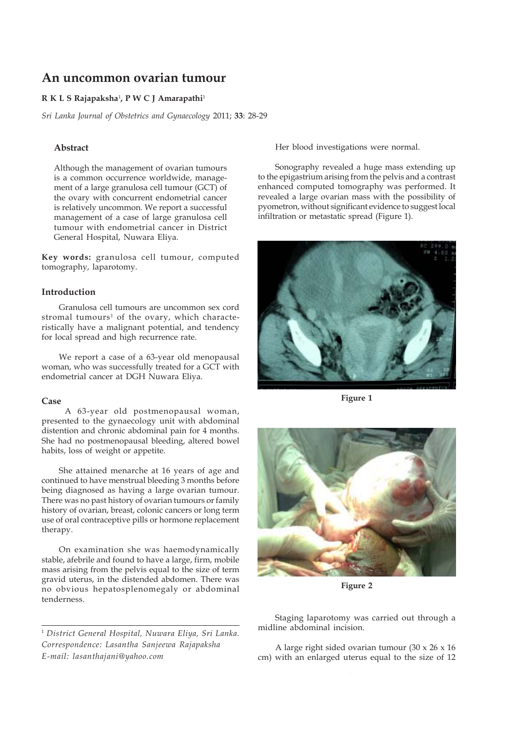# **An uncommon ovarian tumour**

#### **R K L S Rajapaksha**<sup>1</sup> **, P W C J Amarapathi**<sup>1</sup>

*Sri Lanka Journal of Obstetrics and Gynaecology* 2011; **33**: 28-29

# **Abstract**

Although the management of ovarian tumours is a common occurrence worldwide, management of a large granulosa cell tumour (GCT) of the ovary with concurrent endometrial cancer is relatively uncommon. We report a successful management of a case of large granulosa cell tumour with endometrial cancer in District General Hospital, Nuwara Eliya.

**Key words:** granulosa cell tumour, computed tomography, laparotomy.

#### **Introduction**

Granulosa cell tumours are uncommon sex cord stromal tumours<sup>1</sup> of the ovary, which characteristically have a malignant potential, and tendency for local spread and high recurrence rate.

We report a case of a 63-year old menopausal woman, who was successfully treated for a GCT with endometrial cancer at DGH Nuwara Eliya.

#### **Case**

 A 63-year old postmenopausal woman, presented to the gynaecology unit with abdominal distention and chronic abdominal pain for 4 months. She had no postmenopausal bleeding, altered bowel habits, loss of weight or appetite.

She attained menarche at 16 years of age and continued to have menstrual bleeding 3 months before being diagnosed as having a large ovarian tumour. There was no past history of ovarian tumours or family history of ovarian, breast, colonic cancers or long term use of oral contraceptive pills or hormone replacement therapy.

On examination she was haemodynamically stable, afebrile and found to have a large, firm, mobile mass arising from the pelvis equal to the size of term gravid uterus, in the distended abdomen. There was no obvious hepatosplenomegaly or abdominal tenderness.

<sup>1</sup> *District General Hospital, Nuwara Eliya, Sri Lanka. Correspondence: Lasantha Sanjeewa Rajapaksha E-mail: lasanthajani@yahoo.com*

Her blood investigations were normal.

Sonography revealed a huge mass extending up to the epigastrium arising from the pelvis and a contrast enhanced computed tomography was performed. It revealed a large ovarian mass with the possibility of pyometron, without significant evidence to suggest local infiltration or metastatic spread (Figure 1).



**Figure 1**



**Figure 2**

Staging laparotomy was carried out through a midline abdominal incision.

A large right sided ovarian tumour (30 x 26 x 16 cm) with an enlarged uterus equal to the size of 12